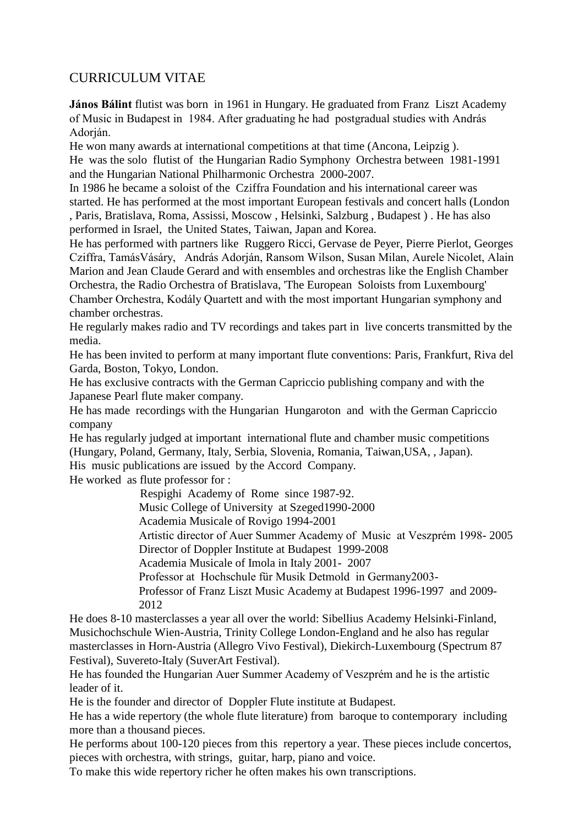## CURRICULUM VITAE

**János Bálint** flutist was born in 1961 in Hungary. He graduated from Franz Liszt Academy of Music in Budapest in 1984. After graduating he had postgradual studies with András Adorján.

He won many awards at international competitions at that time (Ancona, Leipzig ). He was the solo flutist of the Hungarian Radio Symphony Orchestra between 1981-1991 and the Hungarian National Philharmonic Orchestra 2000-2007.

In 1986 he became a soloist of the Cziffra Foundation and his international career was started. He has performed at the most important European festivals and concert halls (London , Paris, Bratislava, Roma, Assissi, Moscow , Helsinki, Salzburg , Budapest ) . He has also performed in Israel, the United States, Taiwan, Japan and Korea.

He has performed with partners like Ruggero Ricci, Gervase de Peyer, Pierre Pierlot, Georges Cziffra, TamásVásáry, András Adorján, Ransom Wilson, Susan Milan, Aurele Nicolet, Alain Marion and Jean Claude Gerard and with ensembles and orchestras like the English Chamber Orchestra, the Radio Orchestra of Bratislava, 'The European Soloists from Luxembourg' Chamber Orchestra, Kodály Quartett and with the most important Hungarian symphony and chamber orchestras.

He regularly makes radio and TV recordings and takes part in live concerts transmitted by the media.

He has been invited to perform at many important flute conventions: Paris, Frankfurt, Riva del Garda, Boston, Tokyo, London.

He has exclusive contracts with the German Capriccio publishing company and with the Japanese Pearl flute maker company.

He has made recordings with the Hungarian Hungaroton and with the German Capriccio company

He has regularly judged at important international flute and chamber music competitions (Hungary, Poland, Germany, Italy, Serbia, Slovenia, Romania, Taiwan,USA, , Japan).

His music publications are issued by the Accord Company.

He worked as flute professor for :

Respighi Academy of Rome since 1987-92.

Music College of University at Szeged1990-2000

Academia Musicale of Rovigo 1994-2001

Artistic director of Auer Summer Academy of Music at Veszprém 1998- 2005 Director of Doppler Institute at Budapest 1999-2008

Academia Musicale of Imola in Italy 2001- 2007

Professor at Hochschule für Musik Detmold in Germany2003-

Professor of Franz Liszt Music Academy at Budapest 1996-1997 and 2009- 2012

He does 8-10 masterclasses a year all over the world: Sibellius Academy Helsinki-Finland, Musichochschule Wien-Austria, Trinity College London-England and he also has regular masterclasses in Horn-Austria (Allegro Vivo Festival), Diekirch-Luxembourg (Spectrum 87 Festival), Suvereto-Italy (SuverArt Festival).

He has founded the Hungarian Auer Summer Academy of Veszprém and he is the artistic leader of it.

He is the founder and director of Doppler Flute institute at Budapest.

He has a wide repertory (the whole flute literature) from baroque to contemporary including more than a thousand pieces.

He performs about 100-120 pieces from this repertory a year. These pieces include concertos, pieces with orchestra, with strings, guitar, harp, piano and voice.

To make this wide repertory richer he often makes his own transcriptions.